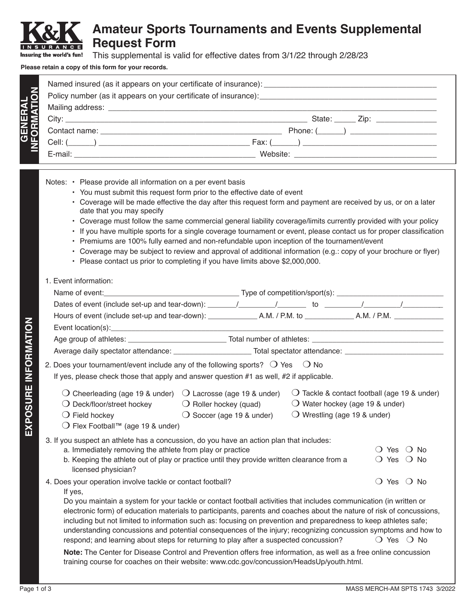## **Amateur Sports Tournaments and Events Supplemental Request Form**

This supplemental is valid for effective dates from 3/1/22 through 2/28/23 Insuring the world's fun!

## **Please retain a copy of this form for your records.**

| State: ______ Zip: _______________                                                                                                      |
|-----------------------------------------------------------------------------------------------------------------------------------------|
| $\mathsf{Phone}:\underline{\text{(}}\underline{\hspace{1cm}}\underline{\hspace{1cm}}) \underline{\hspace{1cm}}\underline{\hspace{1cm}}$ |
| Cell: $(\_\_\_\_)$                                                                                                                      |
|                                                                                                                                         |

- Notes: Please provide all information on a per event basis
	- You must submit this request form prior to the effective date of event
	- Coverage will be made effective the day after this request form and payment are received by us, or on a later date that you may specify
	- Coverage must follow the same commercial general liability coverage/limits currently provided with your policy
	- If you have multiple sports for a single coverage tournament or event, please contact us for proper classification
	- Premiums are 100% fully earned and non-refundable upon inception of the tournament/event
	- Coverage may be subject to review and approval of additional information (e.g.: copy of your brochure or flyer)
	- Please contact us prior to completing if you have limits above \$2,000,000.

## 1. Event information:

| Average daily spectator attendance: __________________________Total spectator attendance: ____________________                                                                                                                                                                                                                                                                                                                                                                                                                                                             |                                                                       |                                                                                   |                                                              |  |  |  |
|----------------------------------------------------------------------------------------------------------------------------------------------------------------------------------------------------------------------------------------------------------------------------------------------------------------------------------------------------------------------------------------------------------------------------------------------------------------------------------------------------------------------------------------------------------------------------|-----------------------------------------------------------------------|-----------------------------------------------------------------------------------|--------------------------------------------------------------|--|--|--|
| 2. Does your tournament/event include any of the following sports? $\circlearrowleft$ Yes $\circlearrowright$ No                                                                                                                                                                                                                                                                                                                                                                                                                                                           |                                                                       |                                                                                   |                                                              |  |  |  |
| If yes, please check those that apply and answer question #1 as well, #2 if applicable.                                                                                                                                                                                                                                                                                                                                                                                                                                                                                    |                                                                       |                                                                                   |                                                              |  |  |  |
| $\bigcirc$ Cheerleading (age 19 & under) $\bigcirc$ Lacrosse (age 19 & under)<br>$\bigcirc$ Deck/floor/street hockey<br>$\bigcirc$ Field hockey<br>○ Flex Football™ (age 19 & under)                                                                                                                                                                                                                                                                                                                                                                                       | $\bigcirc$ Roller hockey (quad)<br>$\bigcirc$ Soccer (age 19 & under) | $\bigcirc$ Water hockey (age 19 & under)<br>$\bigcirc$ Wrestling (age 19 & under) | $\bigcirc$ Tackle & contact football (age 19 & under)        |  |  |  |
| 3. If you suspect an athlete has a concussion, do you have an action plan that includes:<br>a. Immediately removing the athlete from play or practice<br>b. Keeping the athlete out of play or practice until they provide written clearance from a<br>licensed physician?                                                                                                                                                                                                                                                                                                 |                                                                       |                                                                                   | $\bigcirc$ Yes $\bigcirc$ No<br>$\bigcirc$ Yes $\bigcirc$ No |  |  |  |
| 4. Does your operation involve tackle or contact football?<br>If yes,                                                                                                                                                                                                                                                                                                                                                                                                                                                                                                      |                                                                       |                                                                                   | ◯ Yes ◯ No                                                   |  |  |  |
| Do you maintain a system for your tackle or contact football activities that includes communication (in written or<br>electronic form) of education materials to participants, parents and coaches about the nature of risk of concussions,<br>including but not limited to information such as: focusing on prevention and preparedness to keep athletes safe;<br>understanding concussions and potential consequences of the injury; recognizing concussion symptoms and how to<br>respond; and learning about steps for returning to play after a suspected concussion? |                                                                       |                                                                                   | $\bigcirc$ Yes $\bigcirc$ No                                 |  |  |  |
| Note: The Center for Disease Control and Prevention offers free information, as well as a free online concussion<br>training course for coaches on their website: www.cdc.gov/concussion/HeadsUp/youth.html.                                                                                                                                                                                                                                                                                                                                                               |                                                                       |                                                                                   |                                                              |  |  |  |

**GENERAL** 

ERAL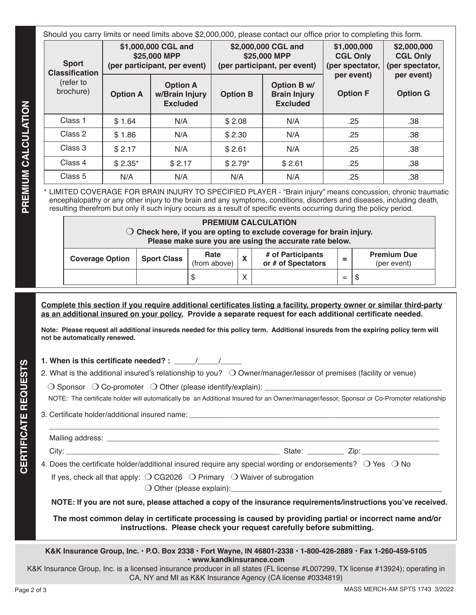| Should you carry limits or need limits above \$2,000,000, please contact our office prior to completing this form. |                                                                     |                                                      |                 |                                                                     |                                                   |                                                   |  |
|--------------------------------------------------------------------------------------------------------------------|---------------------------------------------------------------------|------------------------------------------------------|-----------------|---------------------------------------------------------------------|---------------------------------------------------|---------------------------------------------------|--|
| <b>Sport</b><br><b>Classification</b><br>(refer to<br>brochure)                                                    | \$1,000,000 CGL and<br>\$25,000 MPP<br>(per participant, per event) |                                                      |                 | \$2,000,000 CGL and<br>\$25,000 MPP<br>(per participant, per event) | \$1,000,000<br><b>CGL Only</b><br>(per spectator, | \$2,000,000<br><b>CGL Only</b><br>(per spectator, |  |
|                                                                                                                    | <b>Option A</b>                                                     | <b>Option A</b><br>w/Brain Injury<br><b>Excluded</b> | <b>Option B</b> | Option B w/<br><b>Brain Injury</b><br><b>Excluded</b>               | per event)<br><b>Option F</b>                     | per event)<br><b>Option G</b>                     |  |
| Class 1                                                                                                            | \$1.64                                                              | N/A                                                  | \$2.08          | N/A                                                                 | .25                                               | .38                                               |  |
| Class 2                                                                                                            | \$1.86                                                              | N/A                                                  | \$2.30          | N/A                                                                 | .25                                               | .38                                               |  |
| Class 3                                                                                                            | \$2.17                                                              | N/A                                                  | \$2.61          | N/A                                                                 | .25                                               | .38                                               |  |
| Class 4                                                                                                            | $$2.35*$                                                            | \$2.17                                               | $$2.79*$        | \$2.61                                                              | .25                                               | .38                                               |  |
| Class 5                                                                                                            | N/A                                                                 | N/A                                                  | N/A             | N/A                                                                 | .25                                               | .38                                               |  |

\* LIMITED COVERAGE FOR BRAIN INJURY TO SPECIFIED PLAYER - "Brain injury" means concussion, chronic traumatic encephalopathy or any other injury to the brain and any symptoms, conditions, disorders and diseases, including death, resulting therefrom but only if such injury occurs as a result of specific events occurring during the policy period.

| <b>PREMIUM CALCULATION</b><br>$\bigcirc$ Check here, if you are opting to exclude coverage for brain injury.<br>Please make sure you are using the accurate rate below. |                    |                      |              |                                         |     |                                   |
|-------------------------------------------------------------------------------------------------------------------------------------------------------------------------|--------------------|----------------------|--------------|-----------------------------------------|-----|-----------------------------------|
| <b>Coverage Option</b>                                                                                                                                                  | <b>Sport Class</b> | Rate<br>(from above) | $\mathbf{v}$ | # of Participants<br>or # of Spectators |     | <b>Premium Due</b><br>(per event) |
|                                                                                                                                                                         |                    | \$                   | $\checkmark$ |                                         | $=$ | S                                 |

**Complete this section if you require additional certificates listing a facility, property owner or similar third-party as an additional insured on your policy. Provide a separate request for each additional certificate needed.** 

**Note: Please request all additional insureds needed for this policy term. Additional insureds from the expiring policy term will not be automatically renewed.**

**1. When is this certificate needed? :**  $\frac{1}{2}$ 

2. What is the additional insured's relationship to you?  $\bigcirc$  Owner/manager/lessor of premises (facility or venue)

 $\bigcirc$  Sponsor  $\bigcirc$  Co-promoter  $\bigcirc$  Other (please identify/explain):

NOTE: The certificate holder will automatically be an Additional Insured for an Owner/manager/lessor, Sponsor or Co-Promoter relationship

3. Certificate holder/additional insured name:

| Mailing address: |               |
|------------------|---------------|
| City             | State:<br>'ır |

4. Does the certificate holder/additional insured require any special wording or endorsements?  $\circ$  Yes  $\circ$  No

If yes, check all that apply:  $\bigcirc$  CG2026  $\bigcirc$  Primary  $\bigcirc$  Waiver of subrogation

 $\bigcirc$  Other (please explain):

**NOTE: If you are not sure, please attached a copy of the insurance requirements/instructions you've received.**

**The most common delay in certificate processing is caused by providing partial or incorrect name and/or instructions. Please check your request carefully before submitting.**

**K&K Insurance Group, Inc. • P.O. Box 2338 • Fort Wayne, IN 46801-2338 • 1-800-426-2889 • Fax 1-260-459-5105 • www.kandkinsurance.com**

K&K Insurance Group, Inc. is a licensed insurance producer in all states (FL license #L007299, TX license #13924); operating in CA, NY and MI as K&K Insurance Agency (CA license #0334819)

**CERTIFICATE REQUESTS**

**CERTIFICATE REQUESTS**